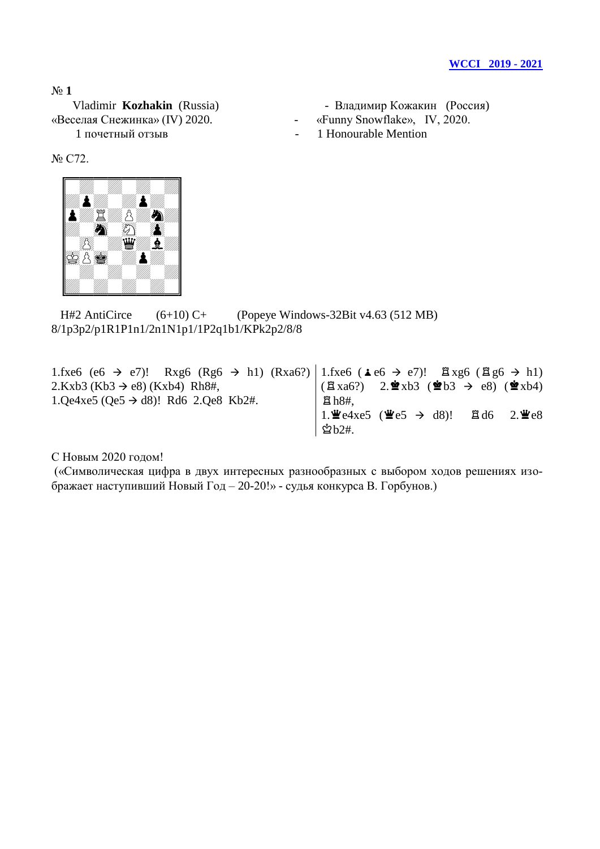«Веселая Снежинка» (IV) 2020. - «Funny Snowflake», IV, 2020.

- Vladimir **Kozhakin** (Russia) Владимир Кожакин (Россия)
	-
- 1 почетный отзыв 1 Honourable Mention

№ C72.



H#2 AntiCirce  $(6+10)$  C+ (Popeye Windows-32Bit v4.63 (512 MB) 8/1p3p2/p1R1P1n1/2n1N1p1/1P2q1b1/KPk2p2/8/8

1.fxe6 (e6  $\rightarrow$  e7)! Rxg6 (Rg6  $\rightarrow$  h1) (Rxa6?)  $2.Kxb3 (Kb3 \rightarrow e8) (Kxb4) Rh8#,$ 1.Qe4xe5 (Qe5  $\rightarrow$  d8)! Rd6 2.Qe8 Kb2#. 1.fxe6 ( $\angle$ e6  $\rightarrow$  e7)!  $\angle$   $\angle$  xg6 ( $\angle$  g6  $\rightarrow$  h1)  $(\mathbb{Z} \text{ xa6?)}$  2. $\mathbf{2} \cdot \mathbf{2} \cdot \mathbf{5}$  (\$Pe8) (\$Pxb4)  $Bth8#$ , 1. $\angle$ e4xe5 ( $\angle$ e5  $\rightarrow$  d8)!  $\angle$  d6 2. $\angle$ e8  $\mathring{\mathfrak{B}}$ b2#.

С Новым 2020 годом!

(«Символическая цифра в двух интересных разнообразных с выбором ходов решениях изображает наступивший Новый Год – 20-20!» - судья конкурса В. Горбунов.)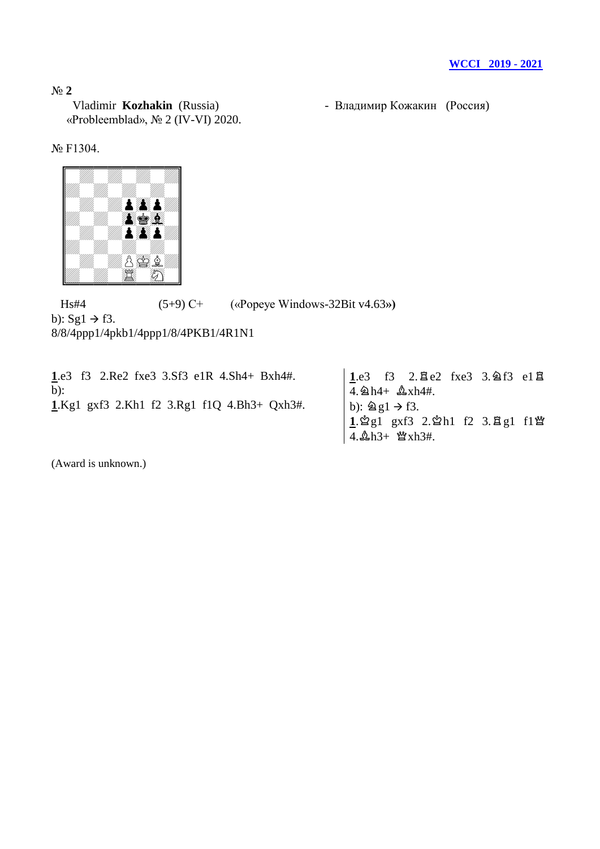Vladimir **Kozhakin** (Russia) - Владимир Кожакин (Россия) «Probleemblad», № 2 (IV-VI) 2020.

# № F1304.



 Hs#4 (5+9) С+ («Popeye Windows-32Bit v4.63**»)** b):  $Sg1 \rightarrow f3$ . 8/8/4ppp1/4pkb1/4ppp1/8/4PKB1/4R1N1

**1**.e3 f3 2.Re2 fxe3 3.Sf3 e1R 4.Sh4+ Bxh4#. b): **1**.Kg1 gxf3 2.Kh1 f2 3.Rg1 f1Q 4.Bh3+ Qxh3#.  $1e3$  f3 2. $2e2$  fxe3 3. $2e13$  e1 $2e2$  $4. \& h4+ \& xh4\#.$ b):  $\hat{\mathbb{Z}}$  g1  $\rightarrow$  f3. 1. ĝg1 gxf3 2. ĝh1 f2 3. <sub>E</sub>g1 f1 \metal{  $4.\Delta h3+$   $\mathfrak{B}xh3\#$ .

(Award is unknown.)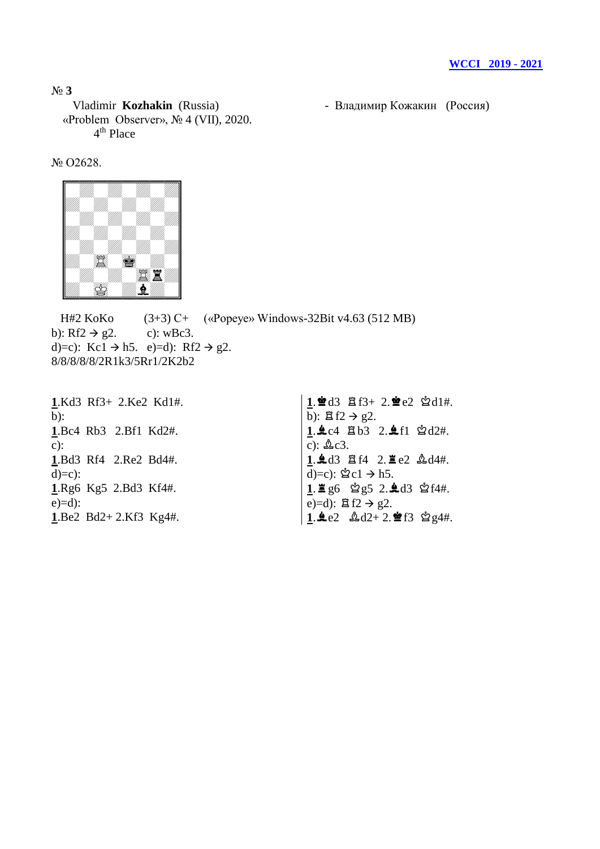Vladimir **Kozhakin** (Russia) - Владимир Кожакин (Россия) «Problem Observer», № 4 (VII), 2020. 4<sup>th</sup> Place

№ O2628.



H#2 KoKo (3+3) C+ («Popeye» Windows-32Bit v4.63 (512 MB) b): Rf2  $\rightarrow$  g2. c): wBc3. d)=c): Kc1  $\rightarrow$  h5. e)=d): Rf2  $\rightarrow$  g2. 8/8/8/8/8/2R1k3/5Rr1/2K2b2

**1**.Kd3 Rf3+ 2.Ke2 Kd1#. b): **1**.Bc4 Rb3 2.Bf1 Kd2#. c): **1**.Bd3 Rf4 2.Re2 Bd4#.  $d)=c$ : **1**.Rg6 Kg5 2.Bd3 Kf4#.  $e)=d$ : **1**.Be2 Bd2+ 2.Kf3 Kg4#.

 $1.$ **2d3**  $\Xi$  f3+ 2.**2** e2  $\Delta$ d1#. b):  $\mathbb{E}$  f2  $\rightarrow$  g2.  $1.4c4$   $Bb3$   $2.4f1$   $Cd2#$ . c):  $\&c3$ .  $1.4d3$   $8f4$   $2.8e2$   $4d4t$ . d)=c):  $\&$ c1 → h5.  $1.2 \text{ g}6 \text{ g}5 2.4d3 \text{ g}644.$ e)=d):  $\mathbb{E} f2 \rightarrow g2$ .  $1.4e2$   $2.42+2.2f3$   $2.84#$ .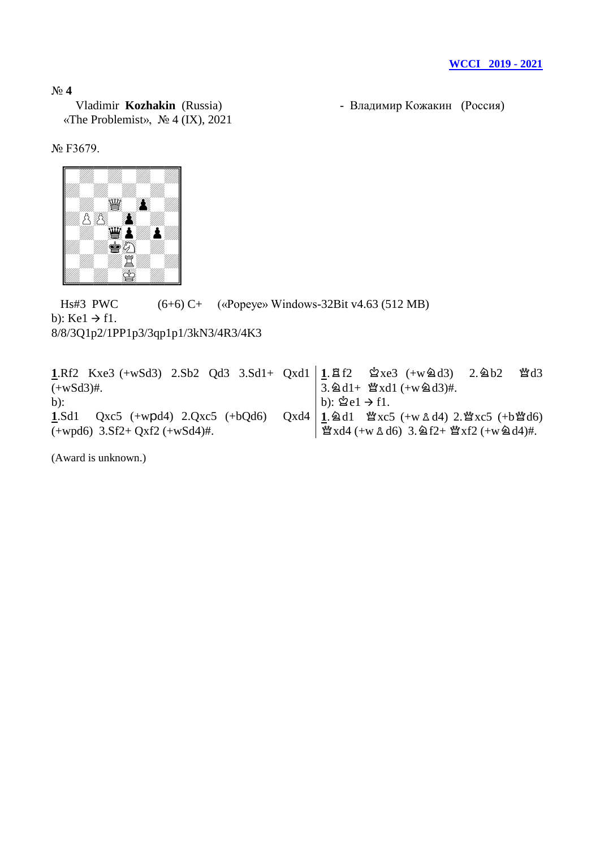«The Problemist», № 4 (IX), 2021

Vladimir **Kozhakin** (Russia) - Владимир Кожакин (Россия)

№ F3679.



 Hs#3 PWC (6+6) C+ («Popeye» Windows-32Bit v4.63 (512 MB) b):  $Ke1 \rightarrow f1$ . 8/8/3Q1p2/1PP1p3/3qp1p1/3kN3/4R3/4K3

**1**.Rf2 Kxe3 (+wSd3) 2.Sb2 Qd3 3.Sd1+ Qxd1  $(+wSd3)$ #. b): **1**.Sd1 Qxc5 (+wpd4) 2.Qxc5 (+bQd6) Qxd4 (+wpd6) 3.Sf2+ Qxf2 (+wSd4)#.  $1.\,\text{Bf2}$   $\&$ xe3 (+w2d3) 2.2b2  $\text{Md3}$  $\overline{3}$ .  $\triangle 1 + \mathfrak{B} \times 11 + (-w \triangle 13)$ #. b):  $\mathcal{Q}e1 \rightarrow f1$ .  $1.\,\&$ d1  $\&$ xc5 (+w  $\&$  d4) 2. $\&$ xc5 (+b $\&$ d6)  $\mathcal{L} \times \mathrm{d}4$  (+w  $\Delta \mathrm{d}6$ ) 3.  $\Delta f2 + \mathcal{L} \times \mathrm{d}2$  (+w  $\Delta \mathrm{d}4$ )#.

(Award is unknown.)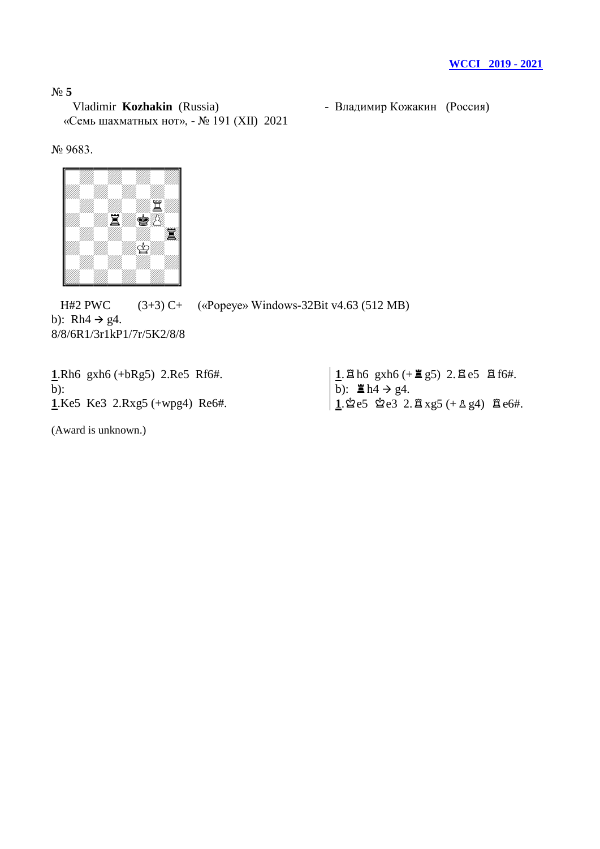N<sup>o</sup> 5<br>Vladimir **Kozhakin** (Russia) «Семь шахматных нот», - № 191 (XII) 2021

- Владимир Кожакин (Россия)

№ 9683.



 H#2 PWC (3+3) C+ («Popeye» Windows-32Bit v4.63 (512 MB) b): Rh $4 \rightarrow g4$ . 8/8/6R1/3r1kP1/7r/5K2/8/8

| <b>1.</b> Rh6 $gxh6 (+bRg5)$ 2.Re5 Rf6#. | $1.8$ h6 gxh6 (+ 2g5) 2.8 e5 8 f6#.                  |
|------------------------------------------|------------------------------------------------------|
| $b)$ :                                   | b): $\mathbb{E}$ h4 $\rightarrow$ g4.                |
| <b>1.Ke5</b> Ke3 2.Rxg5 $(+wpq4)$ Re6#.  | $1.$ 2 e5 2 e3 2. $2 \times 5 (+ 2 \times 4)$ 2 e6#. |

(Award is unknown.)